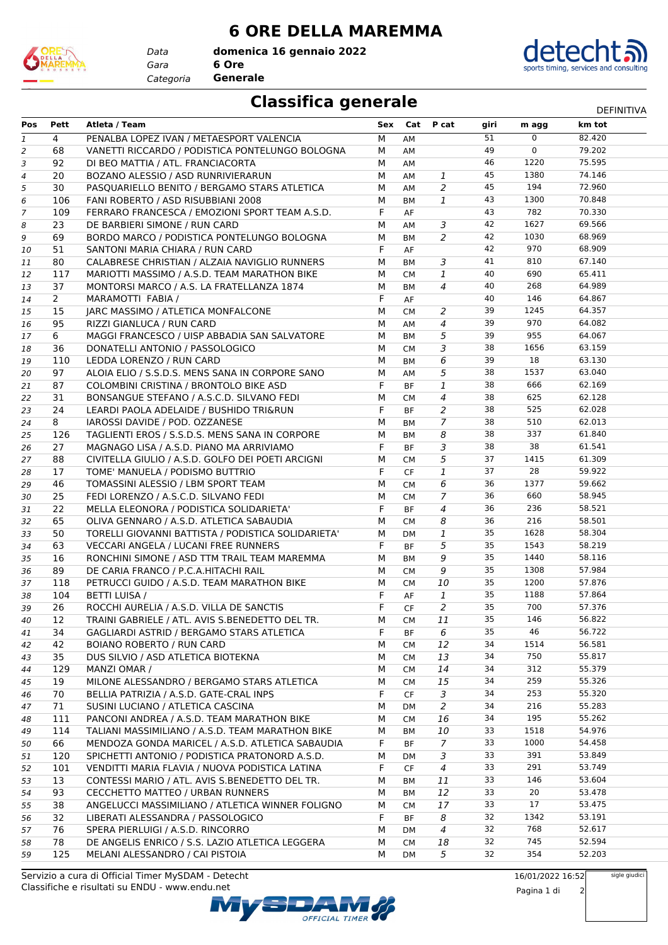## **6 ORE DELLA MAREMMA**

*Gara* **6 Ore** *Data Categoria* **Generale domenica 16 gennaio 2022**



## **Classifica generale** Definitival Definitival

|     |                |                                                    |             |           |                  |      |             | <b>DLIIIVIIIVA</b> |
|-----|----------------|----------------------------------------------------|-------------|-----------|------------------|------|-------------|--------------------|
| Pos | Pett           | Atleta / Team                                      |             |           | Sex Cat P cat    | giri | m agg       | km tot             |
| 1   | $\overline{4}$ | PENALBA LOPEZ IVAN / METAESPORT VALENCIA           | М           | AM        |                  | 51   | $\mathbf 0$ | 82.420             |
| 2   | 68             | VANETTI RICCARDO / PODISTICA PONTELUNGO BOLOGNA    | М           | AM        |                  | 49   | $\mathbf 0$ | 79.202             |
| 3   | 92             | DI BEO MATTIA / ATL. FRANCIACORTA                  | М           | AM        |                  | 46   | 1220        | 75.595             |
| 4   | 20             | BOZANO ALESSIO / ASD RUNRIVIERARUN                 | М           | AM        | $\mathbf{1}$     | 45   | 1380        | 74.146             |
|     |                |                                                    |             |           |                  | 45   | 194         | 72.960             |
| 5   | 30             | PASQUARIELLO BENITO / BERGAMO STARS ATLETICA       | М           | AM        | $\overline{2}$   |      |             |                    |
| 6   | 106            | FANI ROBERTO / ASD RISUBBIANI 2008                 | М           | BМ        | 1                | 43   | 1300        | 70.848             |
| 7   | 109            | FERRARO FRANCESCA / EMOZIONI SPORT TEAM A.S.D.     | F           | AF        |                  | 43   | 782         | 70.330             |
| 8   | 23             | DE BARBIERI SIMONE / RUN CARD                      | М           | AM        | 3                | 42   | 1627        | 69.566             |
| 9   | 69             | BORDO MARCO / PODISTICA PONTELUNGO BOLOGNA         | М           | BМ        | $\overline{2}$   | 42   | 1030        | 68.969             |
| 10  | 51             | SANTONI MARIA CHIARA / RUN CARD                    | F           | AF        |                  | 42   | 970         | 68.909             |
| 11  | 80             | CALABRESE CHRISTIAN / ALZAIA NAVIGLIO RUNNERS      | М           | BM        | 3                | 41   | 810         | 67.140             |
| 12  | 117            | MARIOTTI MASSIMO / A.S.D. TEAM MARATHON BIKE       | М           | СM        | $\mathbf{1}$     | 40   | 690         | 65.411             |
| 13  | 37             | MONTORSI MARCO / A.S. LA FRATELLANZA 1874          | М           | BM        | $\overline{4}$   | 40   | 268         | 64.989             |
| 14  | $\overline{2}$ | MARAMOTTI FABIA /                                  | F           | AF        |                  | 40   | 146         | 64.867             |
| 15  | 15             | JARC MASSIMO / ATLETICA MONFALCONE                 | М           | <b>CM</b> | 2                | 39   | 1245        | 64.357             |
|     | 95             | RIZZI GIANLUCA / RUN CARD                          | М           |           | $\overline{4}$   | 39   | 970         | 64.082             |
| 16  |                |                                                    |             | AM        |                  |      | 955         |                    |
| 17  | 6              | MAGGI FRANCESCO / UISP ABBADIA SAN SALVATORE       | М           | BM        | 5                | 39   |             | 64.067             |
| 18  | 36             | DONATELLI ANTONIO / PASSOLOGICO                    | М           | <b>CM</b> | 3                | 38   | 1656        | 63.159             |
| 19  | 110            | LEDDA LORENZO / RUN CARD                           | М           | <b>BM</b> | 6                | 39   | 18          | 63.130             |
| 20  | 97             | ALOIA ELIO / S.S.D.S. MENS SANA IN CORPORE SANO    | М           | AM        | 5                | 38   | 1537        | 63.040             |
| 21  | 87             | COLOMBINI CRISTINA / BRONTOLO BIKE ASD             | $\mathsf F$ | <b>BF</b> | 1                | 38   | 666         | 62.169             |
| 22  | 31             | BONSANGUE STEFANO / A.S.C.D. SILVANO FEDI          | М           | <b>CM</b> | $\boldsymbol{4}$ | 38   | 625         | 62.128             |
| 23  | 24             | LEARDI PAOLA ADELAIDE / BUSHIDO TRI&RUN            | F           | <b>BF</b> | $\overline{2}$   | 38   | 525         | 62.028             |
| 24  | 8              | IAROSSI DAVIDE / POD. OZZANESE                     | М           | BМ        | $\overline{7}$   | 38   | 510         | 62.013             |
| 25  | 126            | TAGLIENTI EROS / S.S.D.S. MENS SANA IN CORPORE     | М           | BM        | 8                | 38   | 337         | 61.840             |
| 26  | 27             | MAGNAGO LISA / A.S.D. PIANO MA ARRIVIAMO           | F           | <b>BF</b> | 3                | 38   | 38          | 61.541             |
|     | 88             | CIVITELLA GIULIO / A.S.D. GOLFO DEI POETI ARCIGNI  | М           | <b>CM</b> | 5                | 37   | 1415        | 61.309             |
| 27  |                |                                                    | F           |           |                  | 37   | 28          | 59.922             |
| 28  | 17             | TOME' MANUELA / PODISMO BUTTRIO                    |             | <b>CF</b> | 1                |      |             |                    |
| 29  | 46             | TOMASSINI ALESSIO / LBM SPORT TEAM                 | М           | <b>CM</b> | 6                | 36   | 1377        | 59.662             |
| 30  | 25             | FEDI LORENZO / A.S.C.D. SILVANO FEDI               | М           | СM        | 7                | 36   | 660         | 58.945             |
| 31  | 22             | MELLA ELEONORA / PODISTICA SOLIDARIETA'            | F           | <b>BF</b> | $\overline{4}$   | 36   | 236         | 58.521             |
| 32  | 65             | OLIVA GENNARO / A.S.D. ATLETICA SABAUDIA           | М           | <b>CM</b> | 8                | 36   | 216         | 58.501             |
| 33  | 50             | TORELLI GIOVANNI BATTISTA / PODISTICA SOLIDARIETA' | М           | DM        | 1                | 35   | 1628        | 58.304             |
| 34  | 63             | <b>VECCARI ANGELA / LUCANI FREE RUNNERS</b>        | F           | <b>BF</b> | 5                | 35   | 1543        | 58.219             |
| 35  | 16             | RONCHINI SIMONE / ASD TTM TRAIL TEAM MAREMMA       | М           | BM        | 9                | 35   | 1440        | 58.116             |
| 36  | 89             | DE CARIA FRANCO / P.C.A.HITACHI RAIL               | М           | СM        | 9                | 35   | 1308        | 57.984             |
| 37  | 118            | PETRUCCI GUIDO / A.S.D. TEAM MARATHON BIKE         | М           | <b>CM</b> | 10               | 35   | 1200        | 57.876             |
| 38  | 104            | BETTI LUISA /                                      | F           | AF        | $\mathbf{1}$     | 35   | 1188        | 57.864             |
| 39  | 26             | ROCCHI AURELIA / A.S.D. VILLA DE SANCTIS           | F           | <b>CF</b> | $\overline{2}$   | 35   | 700         | 57.376             |
|     |                |                                                    |             |           |                  | 35   | 146         | 56.822             |
| 40  | 12             | TRAINI GABRIELE / ATL. AVIS S.BENEDETTO DEL TR.    | М           | <b>CM</b> | 11               |      |             |                    |
| 41  | 34             | <b>GAGLIARDI ASTRID / BERGAMO STARS ATLETICA</b>   | F           | BF        | 6                | 35   | 46          | 56.722             |
| 42  | 42             | <b>BOIANO ROBERTO / RUN CARD</b>                   | М           | СM        | 12               | 34   | 1514        | 56.581             |
| 43  | 35             | DUS SILVIO / ASD ATLETICA BIOTEKNA                 | М           | <b>CM</b> | 13               | 34   | 750         | 55.817             |
| 44  | 129            | MANZI OMAR /                                       | М           | <b>CM</b> | 14               | 34   | 312         | 55.379             |
| 45  | 19             | MILONE ALESSANDRO / BERGAMO STARS ATLETICA         | М           | <b>CM</b> | 15               | 34   | 259         | 55.326             |
| 46  | 70             | BELLIA PATRIZIA / A.S.D. GATE-CRAL INPS            | F           | CF        | 3                | 34   | 253         | 55.320             |
| 47  | 71             | SUSINI LUCIANO / ATLETICA CASCINA                  | М           | DM        | $\overline{a}$   | 34   | 216         | 55.283             |
| 48  | 111            | PANCONI ANDREA / A.S.D. TEAM MARATHON BIKE         | М           | СM        | 16               | 34   | 195         | 55.262             |
| 49  | 114            | TALIANI MASSIMILIANO / A.S.D. TEAM MARATHON BIKE   | М           | BM        | 10               | 33   | 1518        | 54.976             |
| 50  | 66             | MENDOZA GONDA MARICEL / A.S.D. ATLETICA SABAUDIA   | F           | <b>BF</b> | $\overline{7}$   | 33   | 1000        | 54.458             |
|     | 120            | SPICHETTI ANTONIO / PODISTICA PRATONORD A.S.D.     | М           |           | $\overline{3}$   | 33   | 391         | 53.849             |
| 51  |                |                                                    |             | <b>DM</b> |                  | 33   | 291         | 53.749             |
| 52  | 101            | VENDITTI MARIA FLAVIA / NUOVA PODISTICA LATINA     | F           | CF        | $\overline{4}$   |      |             |                    |
| 53  | 13             | CONTESSI MARIO / ATL. AVIS S.BENEDETTO DEL TR.     | М           | BМ        | 11               | 33   | 146         | 53.604             |
| 54  | 93             | CECCHETTO MATTEO / URBAN RUNNERS                   | М           | BМ        | 12               | 33   | 20          | 53.478             |
| 55  | 38             | ANGELUCCI MASSIMILIANO / ATLETICA WINNER FOLIGNO   | М           | <b>CM</b> | 17               | 33   | 17          | 53.475             |
| 56  | 32             | LIBERATI ALESSANDRA / PASSOLOGICO                  | F           | BF        | 8                | 32   | 1342        | 53.191             |
| 57  | 76             | SPERA PIERLUIGI / A.S.D. RINCORRO                  | М           | DM        | $\overline{4}$   | 32   | 768         | 52.617             |
| 58  | 78             | DE ANGELIS ENRICO / S.S. LAZIO ATLETICA LEGGERA    | М           | <b>CM</b> | 18               | 32   | 745         | 52.594             |
| 59  | 125            | MELANI ALESSANDRO / CAI PISTOIA                    | М           | <b>DM</b> | 5                | 32   | 354         | 52.203             |
|     |                |                                                    |             |           |                  |      |             |                    |

Classifiche e risultati su ENDU - www.endu.net Servizio a cura di Official Timer MySDAM - Detecht



16/01/2022 16:52

sigle giudici

Pagina 1 di 2